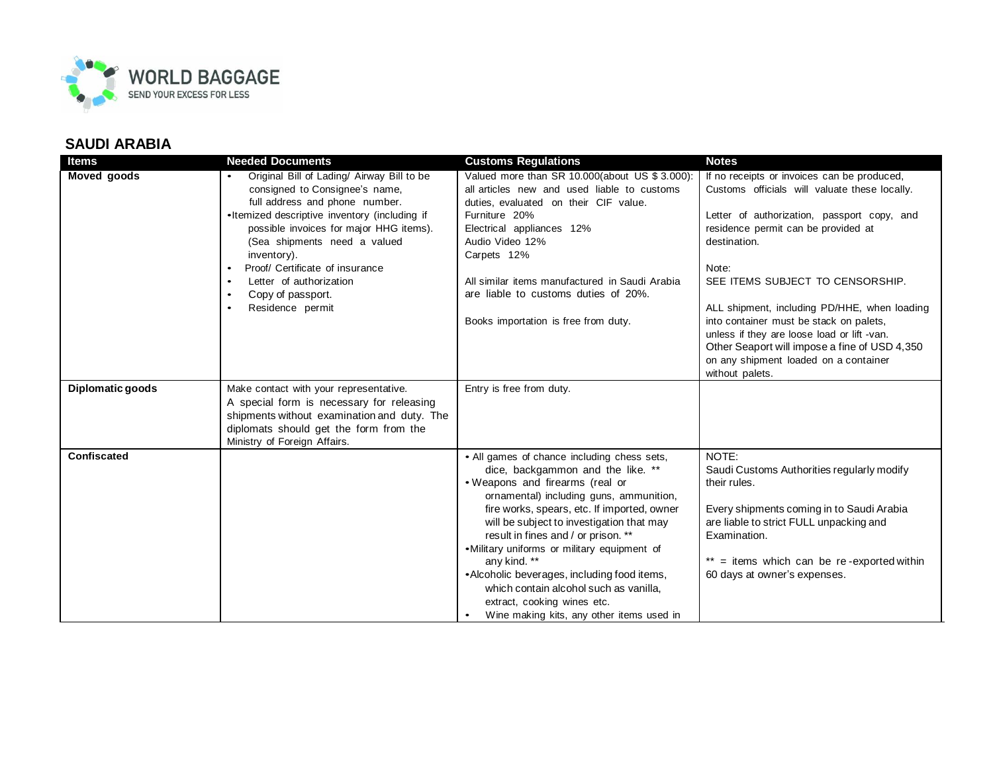

## **SAUDI ARABIA**

| Items              | <b>Needed Documents</b>                                                                                                                                                                                                                                                                                                                                          | <b>Customs Regulations</b>                                                                                                                                                                                                                                                                                                                                                                                                                                                                                                            | <b>Notes</b>                                                                                                                                                                                                                                                                                                                                                                                                                                                                                           |
|--------------------|------------------------------------------------------------------------------------------------------------------------------------------------------------------------------------------------------------------------------------------------------------------------------------------------------------------------------------------------------------------|---------------------------------------------------------------------------------------------------------------------------------------------------------------------------------------------------------------------------------------------------------------------------------------------------------------------------------------------------------------------------------------------------------------------------------------------------------------------------------------------------------------------------------------|--------------------------------------------------------------------------------------------------------------------------------------------------------------------------------------------------------------------------------------------------------------------------------------------------------------------------------------------------------------------------------------------------------------------------------------------------------------------------------------------------------|
| <b>Moved goods</b> | Original Bill of Lading/ Airway Bill to be<br>consigned to Consignee's name,<br>full address and phone number.<br>•Itemized descriptive inventory (including if<br>possible invoices for major HHG items).<br>(Sea shipments need a valued<br>inventory).<br>Proof/ Certificate of insurance<br>Letter of authorization<br>Copy of passport.<br>Residence permit | Valued more than SR 10.000(about US \$ 3.000):<br>all articles new and used liable to customs<br>duties, evaluated on their CIF value.<br>Furniture 20%<br>Electrical appliances 12%<br>Audio Video 12%<br>Carpets 12%<br>All similar items manufactured in Saudi Arabia<br>are liable to customs duties of 20%.<br>Books importation is free from duty.                                                                                                                                                                              | If no receipts or invoices can be produced,<br>Customs officials will valuate these locally.<br>Letter of authorization, passport copy, and<br>residence permit can be provided at<br>destination.<br>Note:<br>SEE ITEMS SUBJECT TO CENSORSHIP.<br>ALL shipment, including PD/HHE, when loading<br>into container must be stack on palets,<br>unless if they are loose load or lift -van.<br>Other Seaport will impose a fine of USD 4,350<br>on any shipment loaded on a container<br>without palets. |
| Diplomatic goods   | Make contact with your representative.<br>A special form is necessary for releasing<br>shipments without examination and duty. The<br>diplomats should get the form from the<br>Ministry of Foreign Affairs.                                                                                                                                                     | Entry is free from duty.                                                                                                                                                                                                                                                                                                                                                                                                                                                                                                              |                                                                                                                                                                                                                                                                                                                                                                                                                                                                                                        |
| <b>Confiscated</b> |                                                                                                                                                                                                                                                                                                                                                                  | • All games of chance including chess sets,<br>dice, backgammon and the like. **<br>• Weapons and firearms (real or<br>ornamental) including guns, ammunition,<br>fire works, spears, etc. If imported, owner<br>will be subject to investigation that may<br>result in fines and / or prison. **<br>•Military uniforms or military equipment of<br>any kind. **<br>•Alcoholic beverages, including food items,<br>which contain alcohol such as vanilla.<br>extract, cooking wines etc.<br>Wine making kits, any other items used in | NOTE:<br>Saudi Customs Authorities regularly modify<br>their rules.<br>Every shipments coming in to Saudi Arabia<br>are liable to strict FULL unpacking and<br>Examination.<br>$**$ = items which can be re-exported within<br>60 days at owner's expenses.                                                                                                                                                                                                                                            |